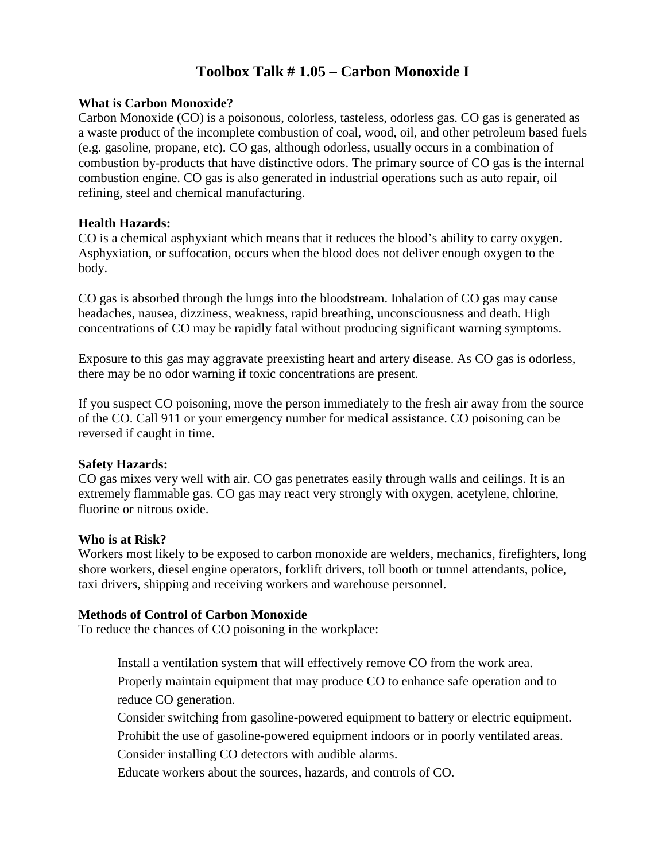## **Toolbox Talk # 1.05 – Carbon Monoxide I**

#### **What is Carbon Monoxide?**

Carbon Monoxide (CO) is a poisonous, colorless, tasteless, odorless gas. CO gas is generated as a waste product of the incomplete combustion of coal, wood, oil, and other petroleum based fuels (e.g. gasoline, propane, etc). CO gas, although odorless, usually occurs in a combination of combustion by-products that have distinctive odors. The primary source of CO gas is the internal combustion engine. CO gas is also generated in industrial operations such as auto repair, oil refining, steel and chemical manufacturing.

#### **Health Hazards:**

CO is a chemical asphyxiant which means that it reduces the blood's ability to carry oxygen. Asphyxiation, or suffocation, occurs when the blood does not deliver enough oxygen to the body.

CO gas is absorbed through the lungs into the bloodstream. Inhalation of CO gas may cause headaches, nausea, dizziness, weakness, rapid breathing, unconsciousness and death. High concentrations of CO may be rapidly fatal without producing significant warning symptoms.

Exposure to this gas may aggravate preexisting heart and artery disease. As CO gas is odorless, there may be no odor warning if toxic concentrations are present.

If you suspect CO poisoning, move the person immediately to the fresh air away from the source of the CO. Call 911 or your emergency number for medical assistance. CO poisoning can be reversed if caught in time.

### **Safety Hazards:**

CO gas mixes very well with air. CO gas penetrates easily through walls and ceilings. It is an extremely flammable gas. CO gas may react very strongly with oxygen, acetylene, chlorine, fluorine or nitrous oxide.

### **Who is at Risk?**

Workers most likely to be exposed to carbon monoxide are welders, mechanics, firefighters, long shore workers, diesel engine operators, forklift drivers, toll booth or tunnel attendants, police, taxi drivers, shipping and receiving workers and warehouse personnel.

#### **Methods of Control of Carbon Monoxide**

To reduce the chances of CO poisoning in the workplace:

Install a ventilation system that will effectively remove CO from the work area.

Properly maintain equipment that may produce CO to enhance safe operation and to reduce CO generation.

Consider switching from gasoline-powered equipment to battery or electric equipment.

Prohibit the use of gasoline-powered equipment indoors or in poorly ventilated areas. Consider installing CO detectors with audible alarms.

Educate workers about the sources, hazards, and controls of CO.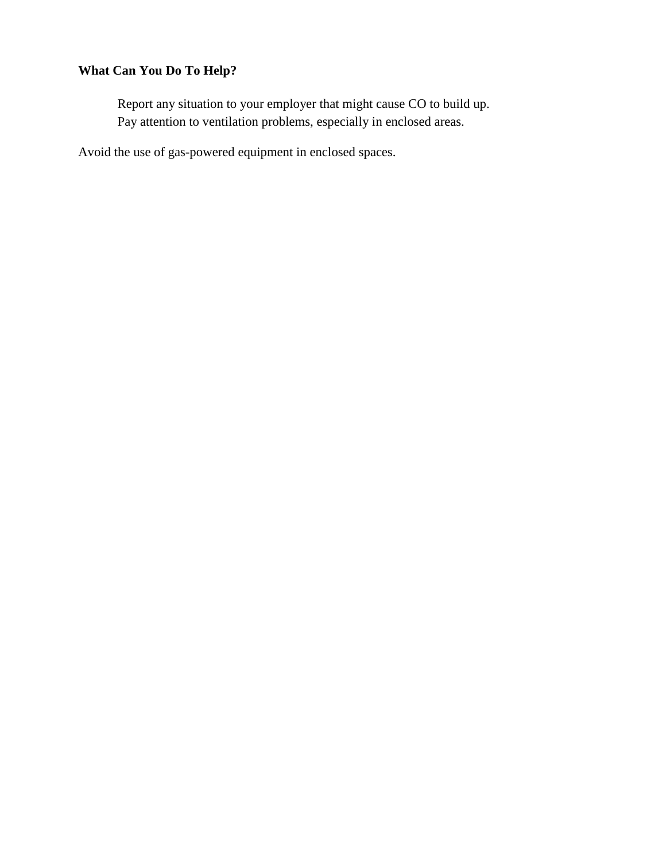## **What Can You Do To Help?**

Report any situation to your employer that might cause CO to build up. Pay attention to ventilation problems, especially in enclosed areas.

Avoid the use of gas-powered equipment in enclosed spaces.